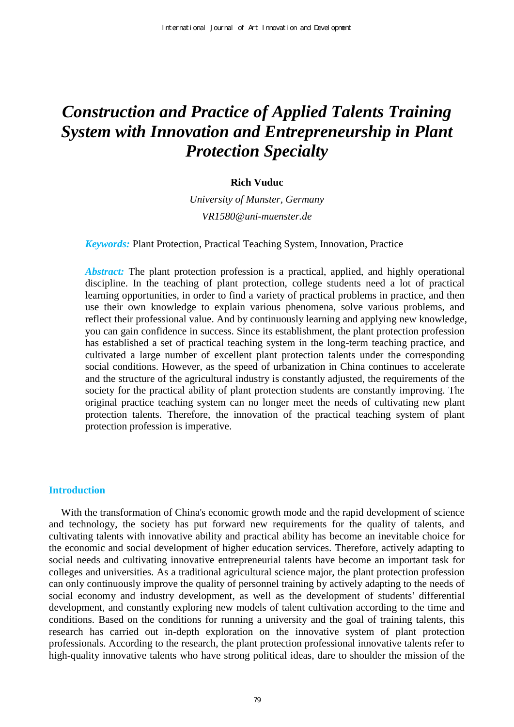# *Construction and Practice of Applied Talents Training System with Innovation and Entrepreneurship in Plant Protection Specialty*

## **Rich Vuduc**

*University of Munster, Germany VR1580@uni-muenster.de* 

*Keywords:* Plant Protection, Practical Teaching System, Innovation, Practice

*Abstract:* The plant protection profession is a practical, applied, and highly operational discipline. In the teaching of plant protection, college students need a lot of practical learning opportunities, in order to find a variety of practical problems in practice, and then use their own knowledge to explain various phenomena, solve various problems, and reflect their professional value. And by continuously learning and applying new knowledge, you can gain confidence in success. Since its establishment, the plant protection profession has established a set of practical teaching system in the long-term teaching practice, and cultivated a large number of excellent plant protection talents under the corresponding social conditions. However, as the speed of urbanization in China continues to accelerate and the structure of the agricultural industry is constantly adjusted, the requirements of the society for the practical ability of plant protection students are constantly improving. The original practice teaching system can no longer meet the needs of cultivating new plant protection talents. Therefore, the innovation of the practical teaching system of plant protection profession is imperative.

# **Introduction**

With the transformation of China's economic growth mode and the rapid development of science and technology, the society has put forward new requirements for the quality of talents, and cultivating talents with innovative ability and practical ability has become an inevitable choice for the economic and social development of higher education services. Therefore, actively adapting to social needs and cultivating innovative entrepreneurial talents have become an important task for colleges and universities. As a traditional agricultural science major, the plant protection profession can only continuously improve the quality of personnel training by actively adapting to the needs of social economy and industry development, as well as the development of students' differential development, and constantly exploring new models of talent cultivation according to the time and conditions. Based on the conditions for running a university and the goal of training talents, this research has carried out in-depth exploration on the innovative system of plant protection professionals. According to the research, the plant protection professional innovative talents refer to high-quality innovative talents who have strong political ideas, dare to shoulder the mission of the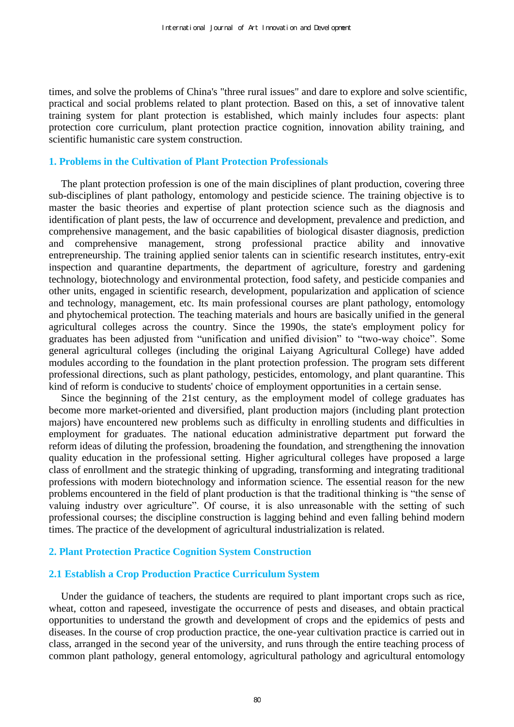times, and solve the problems of China's "three rural issues" and dare to explore and solve scientific, practical and social problems related to plant protection. Based on this, a set of innovative talent training system for plant protection is established, which mainly includes four aspects: plant protection core curriculum, plant protection practice cognition, innovation ability training, and scientific humanistic care system construction.

## **1. Problems in the Cultivation of Plant Protection Professionals**

The plant protection profession is one of the main disciplines of plant production, covering three sub-disciplines of plant pathology, entomology and pesticide science. The training objective is to master the basic theories and expertise of plant protection science such as the diagnosis and identification of plant pests, the law of occurrence and development, prevalence and prediction, and comprehensive management, and the basic capabilities of biological disaster diagnosis, prediction and comprehensive management, strong professional practice ability and innovative entrepreneurship. The training applied senior talents can in scientific research institutes, entry-exit inspection and quarantine departments, the department of agriculture, forestry and gardening technology, biotechnology and environmental protection, food safety, and pesticide companies and other units, engaged in scientific research, development, popularization and application of science and technology, management, etc. Its main professional courses are plant pathology, entomology and phytochemical protection. The teaching materials and hours are basically unified in the general agricultural colleges across the country. Since the 1990s, the state's employment policy for graduates has been adjusted from "unification and unified division" to "two-way choice". Some general agricultural colleges (including the original Laiyang Agricultural College) have added modules according to the foundation in the plant protection profession. The program sets different professional directions, such as plant pathology, pesticides, entomology, and plant quarantine. This kind of reform is conducive to students' choice of employment opportunities in a certain sense.

Since the beginning of the 21st century, as the employment model of college graduates has become more market-oriented and diversified, plant production majors (including plant protection majors) have encountered new problems such as difficulty in enrolling students and difficulties in employment for graduates. The national education administrative department put forward the reform ideas of diluting the profession, broadening the foundation, and strengthening the innovation quality education in the professional setting. Higher agricultural colleges have proposed a large class of enrollment and the strategic thinking of upgrading, transforming and integrating traditional professions with modern biotechnology and information science. The essential reason for the new problems encountered in the field of plant production is that the traditional thinking is "the sense of valuing industry over agriculture". Of course, it is also unreasonable with the setting of such professional courses; the discipline construction is lagging behind and even falling behind modern times. The practice of the development of agricultural industrialization is related.

## **2. Plant Protection Practice Cognition System Construction**

## **2.1 Establish a Crop Production Practice Curriculum System**

Under the guidance of teachers, the students are required to plant important crops such as rice, wheat, cotton and rapeseed, investigate the occurrence of pests and diseases, and obtain practical opportunities to understand the growth and development of crops and the epidemics of pests and diseases. In the course of crop production practice, the one-year cultivation practice is carried out in class, arranged in the second year of the university, and runs through the entire teaching process of common plant pathology, general entomology, agricultural pathology and agricultural entomology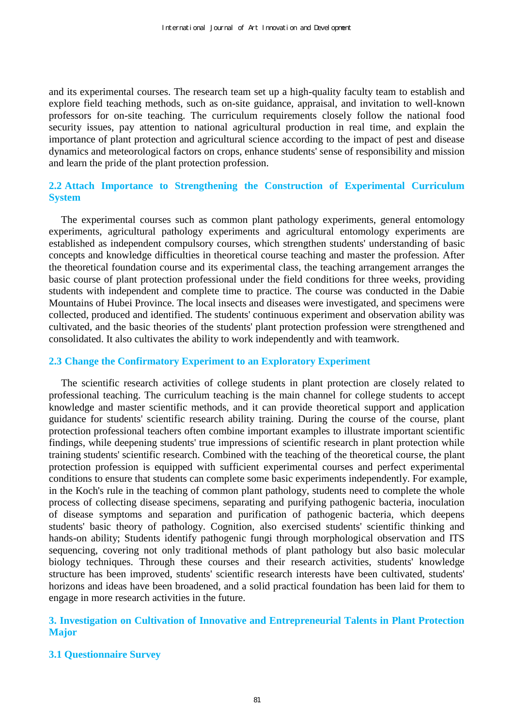and its experimental courses. The research team set up a high-quality faculty team to establish and explore field teaching methods, such as on-site guidance, appraisal, and invitation to well-known professors for on-site teaching. The curriculum requirements closely follow the national food security issues, pay attention to national agricultural production in real time, and explain the importance of plant protection and agricultural science according to the impact of pest and disease dynamics and meteorological factors on crops, enhance students' sense of responsibility and mission and learn the pride of the plant protection profession.

# **2.2 Attach Importance to Strengthening the Construction of Experimental Curriculum System**

The experimental courses such as common plant pathology experiments, general entomology experiments, agricultural pathology experiments and agricultural entomology experiments are established as independent compulsory courses, which strengthen students' understanding of basic concepts and knowledge difficulties in theoretical course teaching and master the profession. After the theoretical foundation course and its experimental class, the teaching arrangement arranges the basic course of plant protection professional under the field conditions for three weeks, providing students with independent and complete time to practice. The course was conducted in the Dabie Mountains of Hubei Province. The local insects and diseases were investigated, and specimens were collected, produced and identified. The students' continuous experiment and observation ability was cultivated, and the basic theories of the students' plant protection profession were strengthened and consolidated. It also cultivates the ability to work independently and with teamwork.

## **2.3 Change the Confirmatory Experiment to an Exploratory Experiment**

The scientific research activities of college students in plant protection are closely related to professional teaching. The curriculum teaching is the main channel for college students to accept knowledge and master scientific methods, and it can provide theoretical support and application guidance for students' scientific research ability training. During the course of the course, plant protection professional teachers often combine important examples to illustrate important scientific findings, while deepening students' true impressions of scientific research in plant protection while training students' scientific research. Combined with the teaching of the theoretical course, the plant protection profession is equipped with sufficient experimental courses and perfect experimental conditions to ensure that students can complete some basic experiments independently. For example, in the Koch's rule in the teaching of common plant pathology, students need to complete the whole process of collecting disease specimens, separating and purifying pathogenic bacteria, inoculation of disease symptoms and separation and purification of pathogenic bacteria, which deepens students' basic theory of pathology. Cognition, also exercised students' scientific thinking and hands-on ability; Students identify pathogenic fungi through morphological observation and ITS sequencing, covering not only traditional methods of plant pathology but also basic molecular biology techniques. Through these courses and their research activities, students' knowledge structure has been improved, students' scientific research interests have been cultivated, students' horizons and ideas have been broadened, and a solid practical foundation has been laid for them to engage in more research activities in the future.

# **3. Investigation on Cultivation of Innovative and Entrepreneurial Talents in Plant Protection Major**

## **3.1 Questionnaire Survey**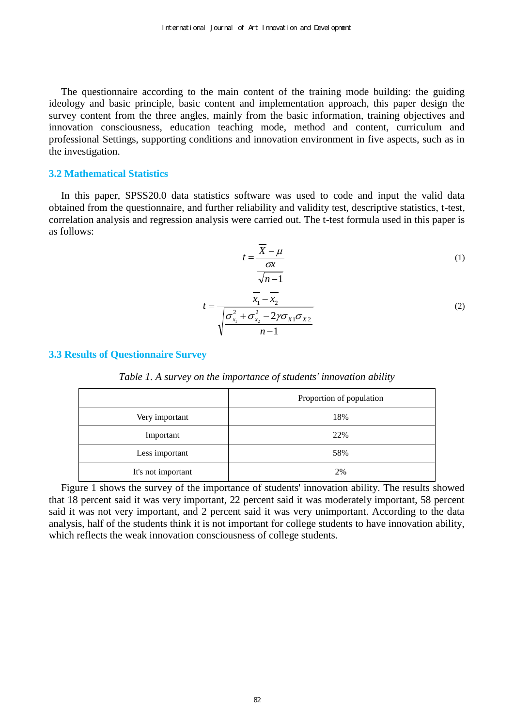The questionnaire according to the main content of the training mode building: the guiding ideology and basic principle, basic content and implementation approach, this paper design the survey content from the three angles, mainly from the basic information, training objectives and innovation consciousness, education teaching mode, method and content, curriculum and professional Settings, supporting conditions and innovation environment in five aspects, such as in the investigation.

#### **3.2 Mathematical Statistics**

In this paper, SPSS20.0 data statistics software was used to code and input the valid data obtained from the questionnaire, and further reliability and validity test, descriptive statistics, t-test, correlation analysis and regression analysis were carried out. The t-test formula used in this paper is as follows:

$$
t = \frac{\overline{X} - \mu}{\frac{\sigma x}{\sqrt{n-1}}}
$$
 (1)

$$
t = \frac{\overline{x}_1 - \overline{x}_2}{\sqrt{\frac{{\sigma}_{x_1}^2 + {\sigma}_{x_2}^2 - 2\gamma {\sigma}_{x_1} {\sigma}_{x_2}}{n-1}}}
$$
(2)

## **3.3 Results of Questionnaire Survey**

|  | Table 1. A survey on the importance of students' innovation ability |  |  |
|--|---------------------------------------------------------------------|--|--|
|  |                                                                     |  |  |

|                    | Proportion of population |
|--------------------|--------------------------|
| Very important     | 18%                      |
| Important          | 22%                      |
| Less important     | 58%                      |
| It's not important | 2%                       |

Figure 1 shows the survey of the importance of students' innovation ability. The results showed that 18 percent said it was very important, 22 percent said it was moderately important, 58 percent said it was not very important, and 2 percent said it was very unimportant. According to the data analysis, half of the students think it is not important for college students to have innovation ability, which reflects the weak innovation consciousness of college students.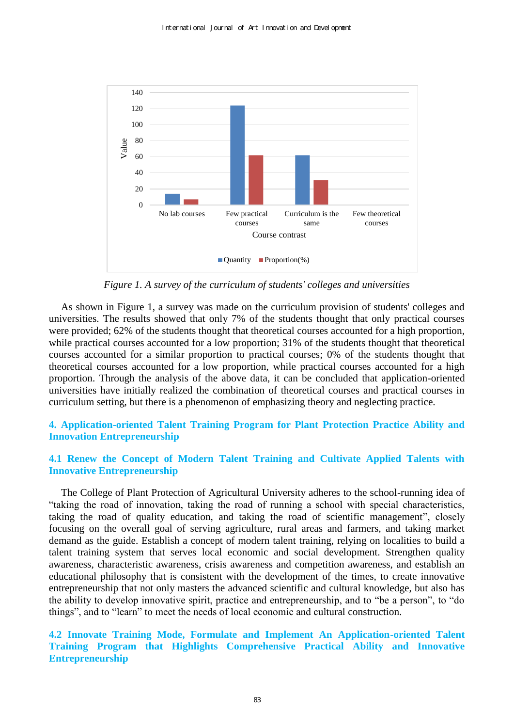

*Figure 1. A survey of the curriculum of students' colleges and universities* 

As shown in Figure 1, a survey was made on the curriculum provision of students' colleges and universities. The results showed that only 7% of the students thought that only practical courses were provided; 62% of the students thought that theoretical courses accounted for a high proportion, while practical courses accounted for a low proportion; 31% of the students thought that theoretical courses accounted for a similar proportion to practical courses; 0% of the students thought that theoretical courses accounted for a low proportion, while practical courses accounted for a high proportion. Through the analysis of the above data, it can be concluded that application-oriented universities have initially realized the combination of theoretical courses and practical courses in curriculum setting, but there is a phenomenon of emphasizing theory and neglecting practice.

# **4. Application-oriented Talent Training Program for Plant Protection Practice Ability and Innovation Entrepreneurship**

# **4.1 Renew the Concept of Modern Talent Training and Cultivate Applied Talents with Innovative Entrepreneurship**

The College of Plant Protection of Agricultural University adheres to the school-running idea of "taking the road of innovation, taking the road of running a school with special characteristics, taking the road of quality education, and taking the road of scientific management", closely focusing on the overall goal of serving agriculture, rural areas and farmers, and taking market demand as the guide. Establish a concept of modern talent training, relying on localities to build a talent training system that serves local economic and social development. Strengthen quality awareness, characteristic awareness, crisis awareness and competition awareness, and establish an educational philosophy that is consistent with the development of the times, to create innovative entrepreneurship that not only masters the advanced scientific and cultural knowledge, but also has the ability to develop innovative spirit, practice and entrepreneurship, and to "be a person", to "do things", and to "learn" to meet the needs of local economic and cultural construction.

# **4.2 Innovate Training Mode, Formulate and Implement An Application-oriented Talent Training Program that Highlights Comprehensive Practical Ability and Innovative Entrepreneurship**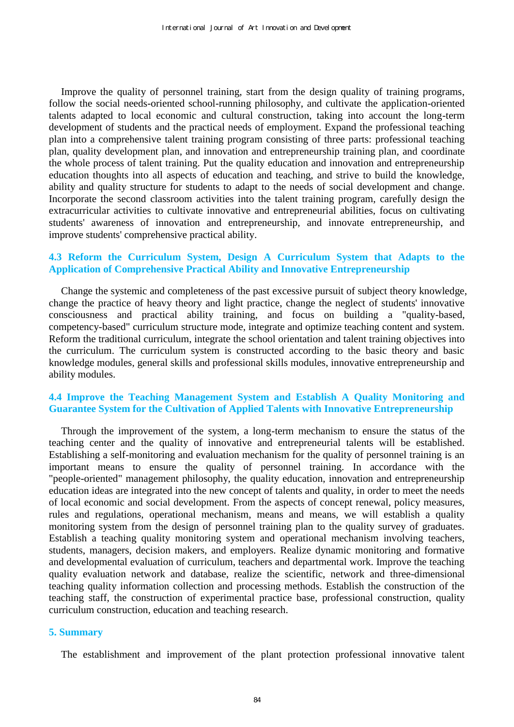Improve the quality of personnel training, start from the design quality of training programs, follow the social needs-oriented school-running philosophy, and cultivate the application-oriented talents adapted to local economic and cultural construction, taking into account the long-term development of students and the practical needs of employment. Expand the professional teaching plan into a comprehensive talent training program consisting of three parts: professional teaching plan, quality development plan, and innovation and entrepreneurship training plan, and coordinate the whole process of talent training. Put the quality education and innovation and entrepreneurship education thoughts into all aspects of education and teaching, and strive to build the knowledge, ability and quality structure for students to adapt to the needs of social development and change. Incorporate the second classroom activities into the talent training program, carefully design the extracurricular activities to cultivate innovative and entrepreneurial abilities, focus on cultivating students' awareness of innovation and entrepreneurship, and innovate entrepreneurship, and improve students' comprehensive practical ability.

# **4.3 Reform the Curriculum System, Design A Curriculum System that Adapts to the Application of Comprehensive Practical Ability and Innovative Entrepreneurship**

Change the systemic and completeness of the past excessive pursuit of subject theory knowledge, change the practice of heavy theory and light practice, change the neglect of students' innovative consciousness and practical ability training, and focus on building a "quality-based, competency-based" curriculum structure mode, integrate and optimize teaching content and system. Reform the traditional curriculum, integrate the school orientation and talent training objectives into the curriculum. The curriculum system is constructed according to the basic theory and basic knowledge modules, general skills and professional skills modules, innovative entrepreneurship and ability modules.

## **4.4 Improve the Teaching Management System and Establish A Quality Monitoring and Guarantee System for the Cultivation of Applied Talents with Innovative Entrepreneurship**

Through the improvement of the system, a long-term mechanism to ensure the status of the teaching center and the quality of innovative and entrepreneurial talents will be established. Establishing a self-monitoring and evaluation mechanism for the quality of personnel training is an important means to ensure the quality of personnel training. In accordance with the "people-oriented" management philosophy, the quality education, innovation and entrepreneurship education ideas are integrated into the new concept of talents and quality, in order to meet the needs of local economic and social development. From the aspects of concept renewal, policy measures, rules and regulations, operational mechanism, means and means, we will establish a quality monitoring system from the design of personnel training plan to the quality survey of graduates. Establish a teaching quality monitoring system and operational mechanism involving teachers, students, managers, decision makers, and employers. Realize dynamic monitoring and formative and developmental evaluation of curriculum, teachers and departmental work. Improve the teaching quality evaluation network and database, realize the scientific, network and three-dimensional teaching quality information collection and processing methods. Establish the construction of the teaching staff, the construction of experimental practice base, professional construction, quality curriculum construction, education and teaching research.

#### **5. Summary**

The establishment and improvement of the plant protection professional innovative talent